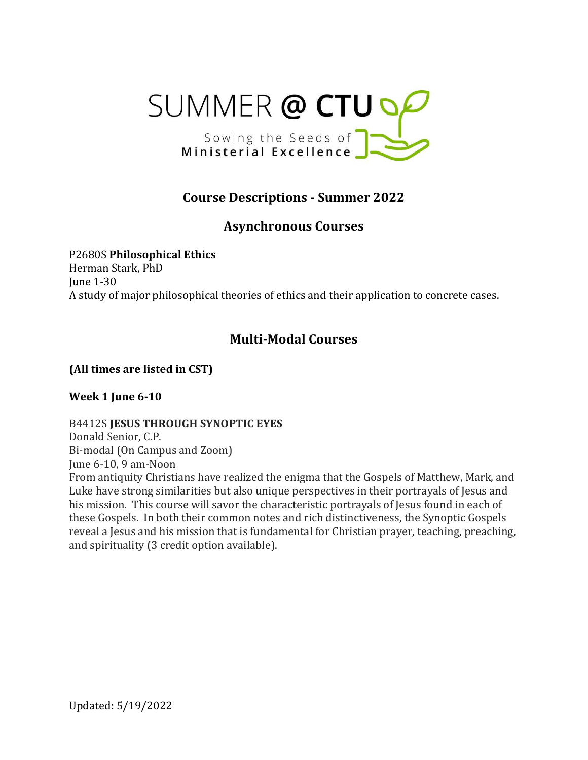

# **Course Descriptions - Summer 2022**

## **Asynchronous Courses**

P2680S **Philosophical Ethics**  Herman Stark, PhD June 1-30 A study of major philosophical theories of ethics and their application to concrete cases.

# **Multi-Modal Courses**

## **(All times are listed in CST)**

## **Week 1 June 6-10**

#### B4412S **JESUS THROUGH SYNOPTIC EYES**

Donald Senior, C.P. Bi-modal (On Campus and Zoom) June 6-10, 9 am-Noon From antiquity Christians have realized the enigma that the Gospels of Matthew, Mark, and Luke have strong similarities but also unique perspectives in their portrayals of Jesus and his mission. This course will savor the characteristic portrayals of Jesus found in each of these Gospels. In both their common notes and rich distinctiveness, the Synoptic Gospels reveal a Jesus and his mission that is fundamental for Christian prayer, teaching, preaching, and spirituality (3 credit option available).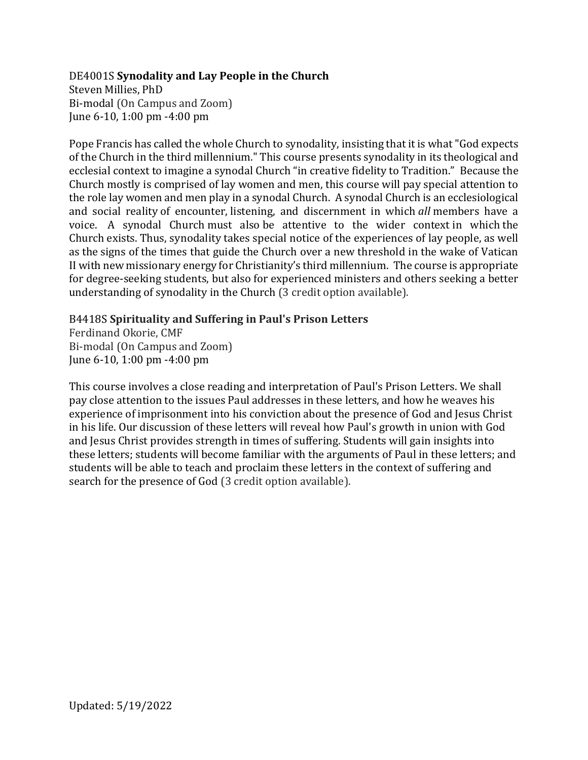#### DE4001S **Synodality and Lay People in the Church**

Steven Millies, PhD Bi-modal (On Campus and Zoom) June 6-10, 1:00 pm -4:00 pm

Pope Francis has called the whole Church to synodality, insisting that it is what "God expects of the Church in the third millennium." This course presents synodality in its theological and ecclesial context to imagine a synodal Church "in creative fidelity to Tradition." Because the Church mostly is comprised of lay women and men, this course will pay special attention to the role lay women and men play in a synodal Church. A synodal Church is an ecclesiological and social reality of encounter, listening, and discernment in which *all* members have a voice. A synodal Church must also be attentive to the wider context in which the Church exists. Thus, synodality takes special notice of the experiences of lay people, as well as the signs of the times that guide the Church over a new threshold in the wake of Vatican II with new missionary energy for Christianity's third millennium. The course is appropriate for degree-seeking students, but also for experienced ministers and others seeking a better understanding of synodality in the Church (3 credit option available).

#### B4418S **Spirituality and Suffering in Paul's Prison Letters**

Ferdinand Okorie, CMF Bi-modal (On Campus and Zoom) June 6-10, 1:00 pm -4:00 pm

This course involves a close reading and interpretation of Paul's Prison Letters. We shall pay close attention to the issues Paul addresses in these letters, and how he weaves his experience of imprisonment into his conviction about the presence of God and Jesus Christ in his life. Our discussion of these letters will reveal how Paul's growth in union with God and Jesus Christ provides strength in times of suffering. Students will gain insights into these letters; students will become familiar with the arguments of Paul in these letters; and students will be able to teach and proclaim these letters in the context of suffering and search for the presence of God (3 credit option available).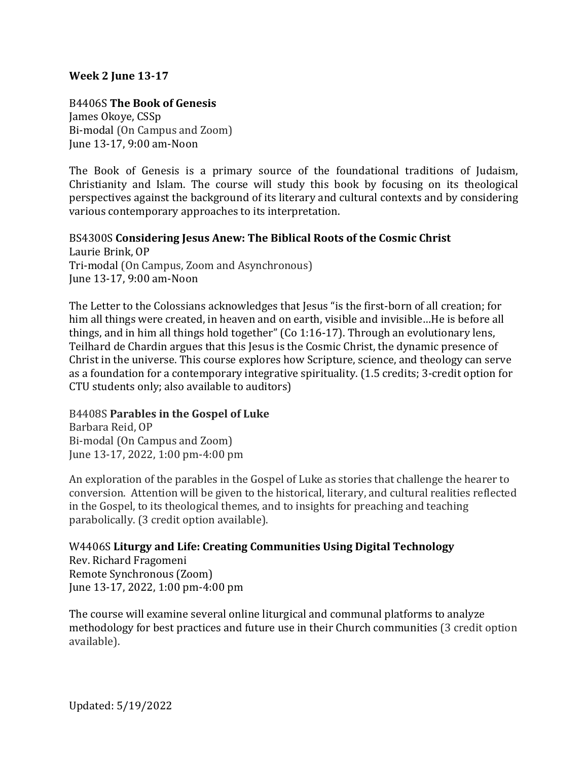#### **Week 2 June 13-17**

#### B4406S **The Book of Genesis**

James Okoye, CSSp Bi-modal (On Campus and Zoom) June 13-17, 9:00 am-Noon

The Book of Genesis is a primary source of the foundational traditions of Judaism, Christianity and Islam. The course will study this book by focusing on its theological perspectives against the background of its literary and cultural contexts and by considering various contemporary approaches to its interpretation.

#### BS4300S **Considering Jesus Anew: The Biblical Roots of the Cosmic Christ** Laurie Brink, OP Tri-modal (On Campus, Zoom and Asynchronous)

June 13-17, 9:00 am-Noon

The Letter to the Colossians acknowledges that Jesus "is the first-born of all creation; for him all things were created, in heaven and on earth, visible and invisible…He is before all things, and in him all things hold together" (Co 1:16-17). Through an evolutionary lens, Teilhard de Chardin argues that this Jesus is the Cosmic Christ, the dynamic presence of Christ in the universe. This course explores how Scripture, science, and theology can serve as a foundation for a contemporary integrative spirituality. (1.5 credits; 3-credit option for CTU students only; also available to auditors)

#### B4408S **Parables in the Gospel of Luke**

Barbara Reid, OP Bi-modal (On Campus and Zoom) June 13-17, 2022, 1:00 pm-4:00 pm

An exploration of the parables in the Gospel of Luke as stories that challenge the hearer to conversion. Attention will be given to the historical, literary, and cultural realities reflected in the Gospel, to its theological themes, and to insights for preaching and teaching parabolically. (3 credit option available).

#### W4406S **Liturgy and Life: Creating Communities Using Digital Technology**

Rev. Richard Fragomeni Remote Synchronous (Zoom) June 13-17, 2022, 1:00 pm-4:00 pm

The course will examine several online liturgical and communal platforms to analyze methodology for best practices and future use in their Church communities (3 credit option available).

Updated: 5/19/2022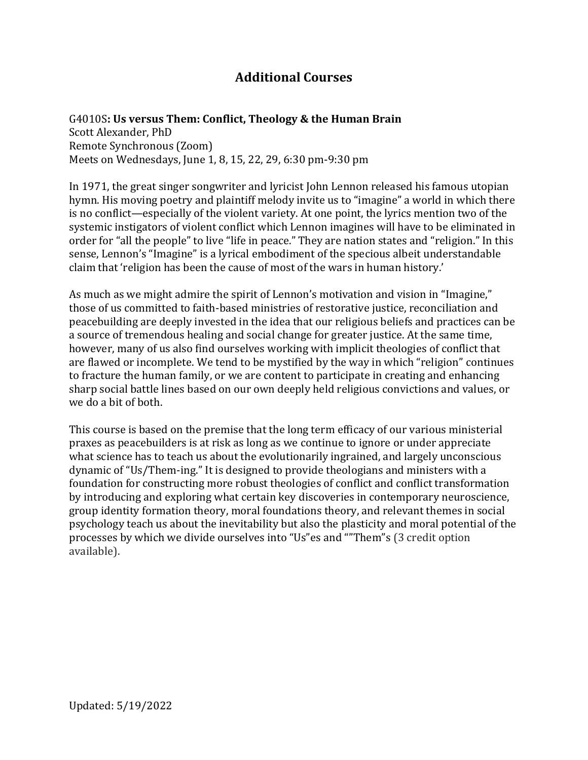# **Additional Courses**

## G4010S**: Us versus Them: Conflict, Theology & the Human Brain**

Scott Alexander, PhD Remote Synchronous (Zoom) Meets on Wednesdays, June 1, 8, 15, 22, 29, 6:30 pm-9:30 pm

In 1971, the great singer songwriter and lyricist John Lennon released his famous utopian hymn. His moving poetry and plaintiff melody invite us to "imagine" a world in which there is no conflict—especially of the violent variety. At one point, the lyrics mention two of the systemic instigators of violent conflict which Lennon imagines will have to be eliminated in order for "all the people" to live "life in peace." They are nation states and "religion." In this sense, Lennon's "Imagine" is a lyrical embodiment of the specious albeit understandable claim that 'religion has been the cause of most of the wars in human history.'

As much as we might admire the spirit of Lennon's motivation and vision in "Imagine," those of us committed to faith-based ministries of restorative justice, reconciliation and peacebuilding are deeply invested in the idea that our religious beliefs and practices can be a source of tremendous healing and social change for greater justice. At the same time, however, many of us also find ourselves working with implicit theologies of conflict that are flawed or incomplete. We tend to be mystified by the way in which "religion" continues to fracture the human family, or we are content to participate in creating and enhancing sharp social battle lines based on our own deeply held religious convictions and values, or we do a bit of both.

This course is based on the premise that the long term efficacy of our various ministerial praxes as peacebuilders is at risk as long as we continue to ignore or under appreciate what science has to teach us about the evolutionarily ingrained, and largely unconscious dynamic of "Us/Them-ing." It is designed to provide theologians and ministers with a foundation for constructing more robust theologies of conflict and conflict transformation by introducing and exploring what certain key discoveries in contemporary neuroscience, group identity formation theory, moral foundations theory, and relevant themes in social psychology teach us about the inevitability but also the plasticity and moral potential of the processes by which we divide ourselves into "Us"es and ""Them"s (3 credit option available).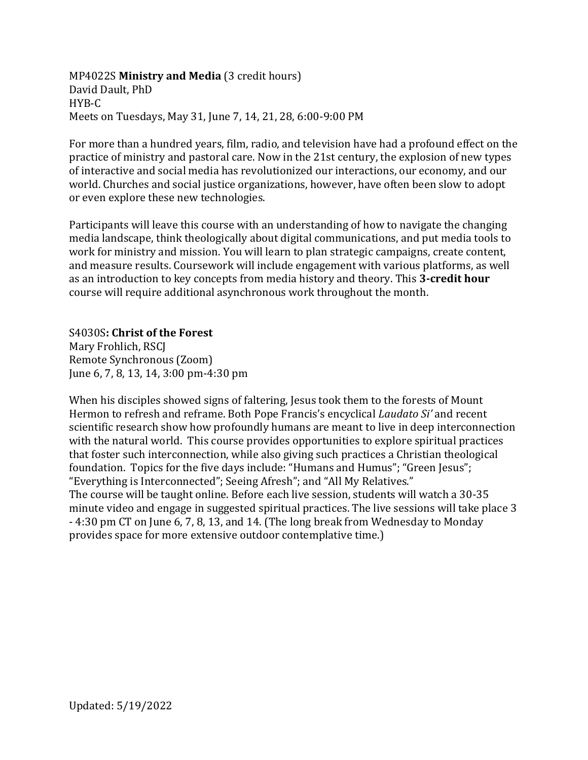MP4022S **Ministry and Media** (3 credit hours) David Dault, PhD HYB-C Meets on Tuesdays, May 31, June 7, 14, 21, 28, 6:00-9:00 PM

For more than a hundred years, film, radio, and television have had a profound effect on the practice of ministry and pastoral care. Now in the 21st century, the explosion of new types of interactive and social media has revolutionized our interactions, our economy, and our world. Churches and social justice organizations, however, have often been slow to adopt or even explore these new technologies.

Participants will leave this course with an understanding of how to navigate the changing media landscape, think theologically about digital communications, and put media tools to work for ministry and mission. You will learn to plan strategic campaigns, create content, and measure results. Coursework will include engagement with various platforms, as well as an introduction to key concepts from media history and theory. This **3-credit hour** course will require additional asynchronous work throughout the month.

S4030S**: Christ of the Forest** Mary Frohlich, RSCJ Remote Synchronous (Zoom) June 6, 7, 8, 13, 14, 3:00 pm-4:30 pm

When his disciples showed signs of faltering, Jesus took them to the forests of Mount Hermon to refresh and reframe. Both Pope Francis's encyclical *Laudato Si'* and recent scientific research show how profoundly humans are meant to live in deep interconnection with the natural world. This course provides opportunities to explore spiritual practices that foster such interconnection, while also giving such practices a Christian theological foundation. Topics for the five days include: "Humans and Humus"; "Green Jesus"; "Everything is Interconnected"; Seeing Afresh"; and "All My Relatives." The course will be taught online. Before each live session, students will watch a 30-35 minute video and engage in suggested spiritual practices. The live sessions will take place 3 - 4:30 pm CT on June 6, 7, 8, 13, and 14. (The long break from Wednesday to Monday provides space for more extensive outdoor contemplative time.)